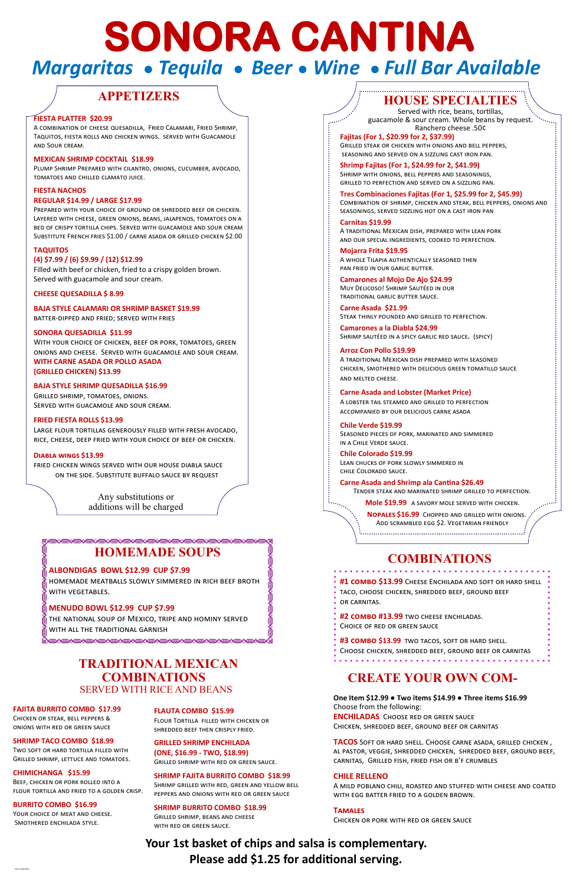# **HOMEMADE SOUPS**

RYERYERYERYERYERYERYERYERYERYERYERYER

homemade meatballs slowly simmered in rich beef broth WITH VEGETABLES.

### **ALBONDIGAS BOWL \$12.99 CUP \$7.99**

### **MENUDO BOWL \$12.99 CUP \$7.99**

the national soup of Mexico, tripe and hominy served with all the traditional garnish

# **COMBINATIONS**

**One Item \$12.99 ● Two items \$14.99 ● Three items \$16.99** Choose from the following: **ENCHILADAS** Choose red or green sauce Chicken, shredded beef, ground beef or carnitas

**TACOS** Soft or hard shell. Choose carne asada, grilled chicken , al pastor, veggie, shredded chicken, shredded beef, ground beef, carnitas, Grilled fish, fried fish or b'f crumbles

YOUR CHOICE OF MEAT AND CHEESE. Smothered enchilada style.

#### **CHILE RELLENO**

A mild poblano chili, roasted and stuffed with cheese and coated with egg batter fried to a golden brown.

#### **Tamales**

Chicken or pork with red or green sauce

#### **FAJITA BURRITO COMBO \$17.99**

Chicken or steak, bell peppers & onions with red or green sauce

#### **SHRIMP TACO COMBO \$18.99**

Two soft or hard tortilla filled with Grilled shrimp, lettuce and tomatoes.

### **CHIMICHANGA \$15.99**

Beef, chicken or pork rolled into a flour tortilla and fried to a golden crisp.

#### **BURRITO COMBO \$16.99**

### **FLAUTA COMBO \$15.99**

Flour Tortilla filled with chicken or shredded beef then crisply fried.

**GRILLED SHRIMP ENCHILADA (ONE, \$16.99 - TWO, \$18.99)** Grilled shrimp with red or green sauce.

#### **SHRIMP FAJITA BURRITO COMBO \$18.99**

Shrimp grilled with red, green and yellow bell peppers and onions with red or green sauce

#### **SHRIMP BURRITO COMBO \$18.99**

Grilled shrimp, beans and cheese with red or green sauce.

### **TRADITIONAL MEXICAN COMBINATIONS**  SERVED WITH RICE AND BEANS

# **HOUSE SPECIALTIES**

Served with rice, beans, tortillas, guacamole & sour cream. Whole beans by request. Ranchero cheese .50¢

**Fajitas (For 1, \$20.99 for 2, \$37.99)** Grilled steak or chicken with onions and bell peppers, seasoning and served on a sizzling cast iron pan.

**Shrimp Fajitas (For 1, \$24.99 for 2, \$41.99)** Shrimp with onions, bell peppers and seasonings, grilled to perfection and served on a sizzling pan.

**Tres Combinaciones Fajitas (For 1, \$25.99 for 2, \$45.99)** Combination of shrimp, chicken and steak, bell peppers, onions and seasonings, served sizzling hot on a cast iron pan

**Carnitas \$19.99** A traditional Mexican dish, prepared with lean pork and our special ingredients, cooked to perfection.

**Mojarra Frita \$19.95**  A whole Tilapia authentically seasoned then pan fried in our garlic butter.

**Camarones al Mojo De Ajo \$24.99**  Muy Delicoso! Shrimp Sautéed in our traditional garlic butter sauce.

**Carne Asada \$21.99** Steak thinly pounded and grilled to perfection.

**Camarones a la Diabla \$24.99** Shrimp sautéed in a spicy garlic red sauce*.* (spicy)

### **Arroz Con Pollo \$19.99** A traditional Mexican dish prepared with seasoned chicken, smothered with delicious green tomatillo sauce and melted cheese.

**Carne Asada and Lobster (Market Price)**  A lobster tail steamed and grilled to perfection accompanied by our delicious carne asada

**Chile Verde \$19.99** Seasoned pieces of pork, marinated and simmered in a Chile Verde sauce.

**Chile Colorado \$19.99** Lean chucks of pork slowly simmered in chile Colorado sauce.

**Carne Asada and Shrimp ala Cantina \$26.49** Tender steak and marinated shrimp grilled to perfection.

 **Mole \$19.99** a savory mole served with chicken.

 **Nopales \$16.99** Chopped and grilled with onions. Add scrambled egg \$2. Vegetarian friendly 

### **Your 1st basket of chips and salsa is complementary. Please add \$1.25 for additional serving.**

# **APPETIZERS**

### **FIESTA PLATTER \$20.99**

A combination of cheese quesadilla, Fried Calamari, Fried Shrimp, Taquitos, fiesta rolls and chicken wings. served with Guacamole and Sour cream.

#### **MEXICAN SHRIMP COCKTAIL \$18.99**

Plump Shrimp Prepared with cilantro, onions, cucumber, avocado, tomatoes and chilled clamato juice.

### **FIESTA NACHOS**

### **REGULAR \$14.99 / LARGE \$17.99**

Prepared with your choice of ground or shredded beef or chicken. Layered with cheese, green onions, beans, jalapenos, tomatoes on a bed of crispy tortilla chips. Served with guacamole and sour cream Substitute French fries \$1.00 / carne asada or grilled chicken \$2.00

#### **TAQUITOS**

#### **(4) \$7.99 / (6) \$9.99 / (12) \$12.99**

Filled with beef or chicken, fried to a crispy golden brown. Served with guacamole and sour cream.

# **SONORA CANTINA**  *Margaritas ● Tequila ● Beer ● Wine ● Full Bar Available*

فهموه

**CHEESE QUESADILLA \$ 8.99**

**BAJA STYLE CALAMARI OR SHRIMP BASKET \$19.99** 

batter-dipped and fried; served with fries

### **SONORA QUESADILLA \$11.99**

With your choice of chicken, beef or pork, tomatoes, green onions and cheese. Served with guacamole and sour cream. **WITH CARNE ASADA OR POLLO ASADA (GRILLED CHICKEN) \$13.99**

### **BAJA STYLE SHRIMP QUESADILLA \$16.99**

Grilled shrimp, tomatoes, onions. Served with guacamole and sour cream.

### **FRIED FIESTA ROLLS \$13.99**

Large flour tortillas generously filled with fresh avocado, rice, cheese, deep fried with your choice of beef or chicken.

### **Diabla wings \$13.99**

fried chicken wings served with our house diabla sauce on the side. Substitute buffalo sauce by request

> Any substitutions or additions will be charged

> > **#1 combo \$13.99** Cheese Enchilada and soft or hard shell taco, choose chicken, shredded beef, ground beef or carnitas.

**#2 combo #13.99** two cheese enchiladas.

Choice of red or green sauce

**#3 combo \$13.99** two tacos, soft or hard shell.

Choose chicken, shredded beef, ground beef or carnitas

### **CREATE YOUR OWN COM-**